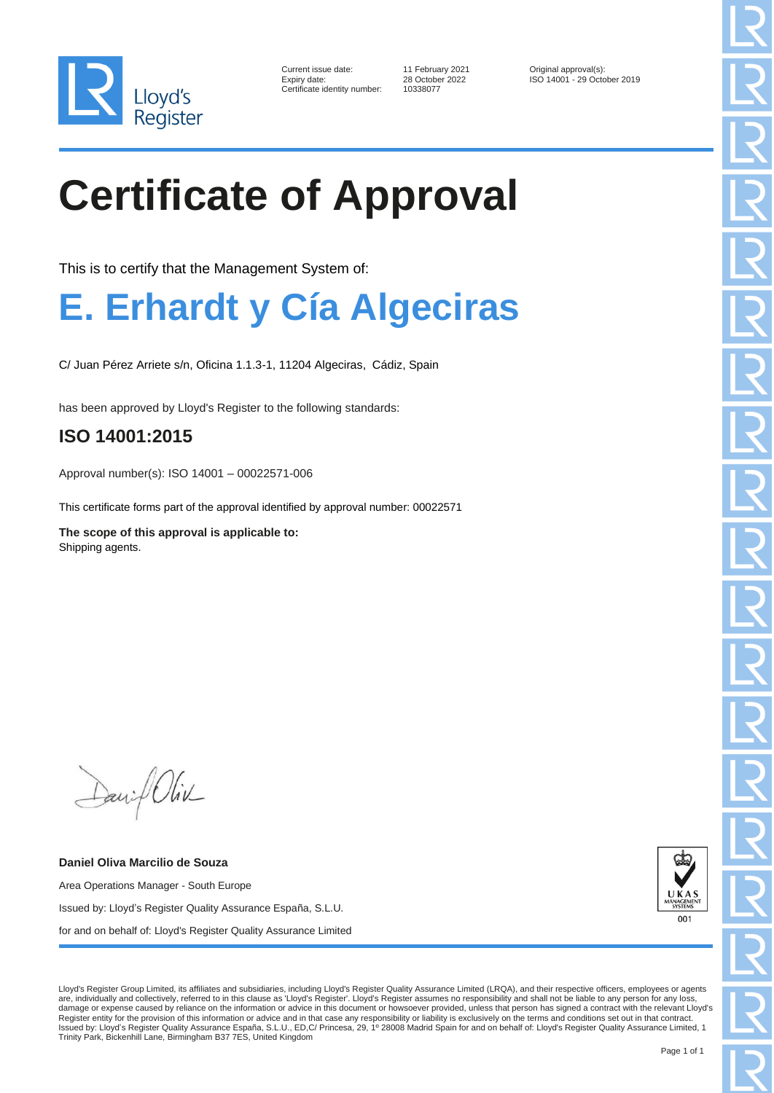

| Current issue date:        |
|----------------------------|
| Expiry date:               |
| Certificate identity numbe |

er: 10338077

11 February 2021 <br>
28 October 2022 <br>
12 ISO 14001 - 29 Octo ISO 14001 - 29 October 2019

# **Certificate of Approval**

This is to certify that the Management System of:

### **E. Erhardt y Cía Algeciras**

C/ Juan Pérez Arriete s/n, Oficina 1.1.3-1, 11204 Algeciras, Cádiz, Spain

has been approved by Lloyd's Register to the following standards:

#### **ISO 14001:2015**

Approval number(s): ISO 14001 – 00022571-006

This certificate forms part of the approval identified by approval number: 00022571

**The scope of this approval is applicable to:** Shipping agents.

David Oliv

**Daniel Oliva Marcilio de Souza** Area Operations Manager - South Europe Issued by: Lloyd's Register Quality Assurance España, S.L.U. for and on behalf of: Lloyd's Register Quality Assurance Limited



Lloyd's Register Group Limited, its affiliates and subsidiaries, including Lloyd's Register Quality Assurance Limited (LRQA), and their respective officers, employees or agents are, individually and collectively, referred to in this clause as 'Lloyd's Register'. Lloyd's Register assumes no responsibility and shall not be liable to any person for any loss, damage or expense caused by reliance on the information or advice in this document or howsoever provided, unless that person has signed a contract with the relevant Lloyd's Register entity for the provision of this information or advice and in that case any responsibility or liability is exclusively on the terms and conditions set out in that contract.<br>Issued by: Lloyd's Register Quality Assu Trinity Park, Bickenhill Lane, Birmingham B37 7ES, United Kingdom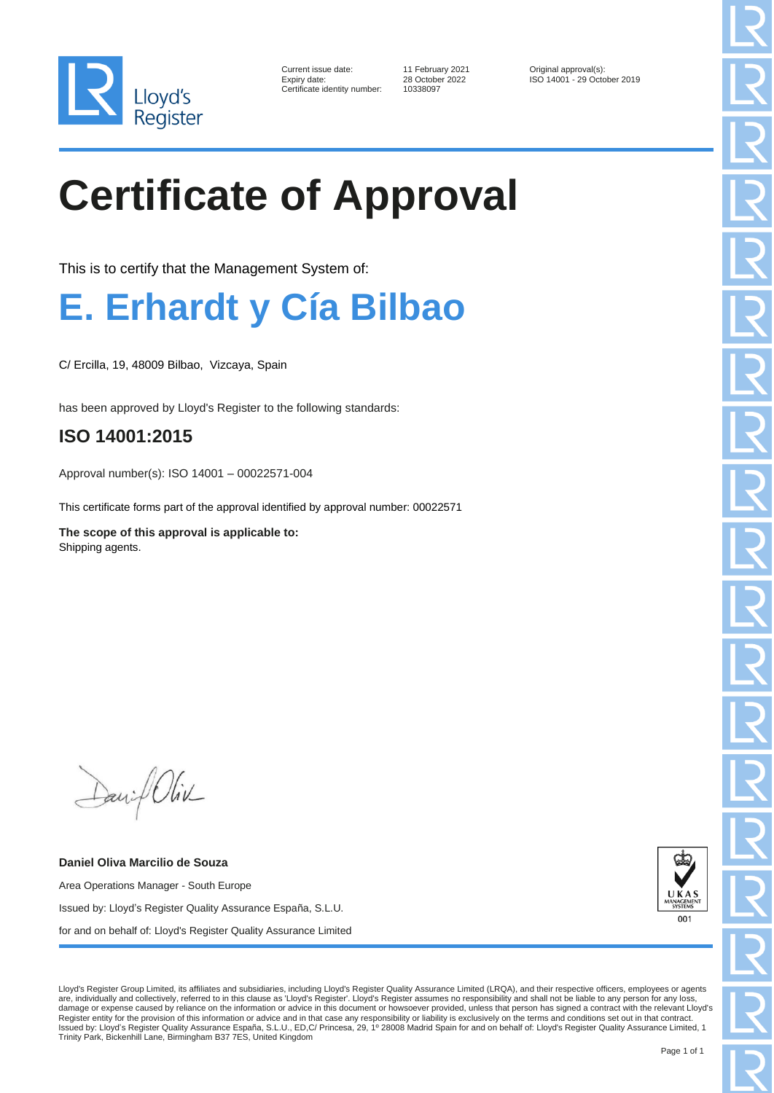

| Current issue date:        |
|----------------------------|
| Expiry date:               |
| Certificate identity numbe |

Certificate identity number: 10338097

11 February 2021 <br>
28 October 2022 <br>
12 ISO 14001 - 29 Octo ISO 14001 - 29 October 2019

# **Certificate of Approval**

This is to certify that the Management System of:

### **E. Erhardt y Cía Bilbao**

C/ Ercilla, 19, 48009 Bilbao, Vizcaya, Spain

has been approved by Lloyd's Register to the following standards:

#### **ISO 14001:2015**

Approval number(s): ISO 14001 – 00022571-004

This certificate forms part of the approval identified by approval number: 00022571

**The scope of this approval is applicable to:** Shipping agents.

David Oliv

**Daniel Oliva Marcilio de Souza** Area Operations Manager - South Europe Issued by: Lloyd's Register Quality Assurance España, S.L.U. for and on behalf of: Lloyd's Register Quality Assurance Limited



Lloyd's Register Group Limited, its affiliates and subsidiaries, including Lloyd's Register Quality Assurance Limited (LRQA), and their respective officers, employees or agents are, individually and collectively, referred to in this clause as 'Lloyd's Register'. Lloyd's Register assumes no responsibility and shall not be liable to any person for any loss, damage or expense caused by reliance on the information or advice in this document or howsoever provided, unless that person has signed a contract with the relevant Lloyd's Register entity for the provision of this information or advice and in that case any responsibility or liability is exclusively on the terms and conditions set out in that contract.<br>Issued by: Lloyd's Register Quality Assu Trinity Park, Bickenhill Lane, Birmingham B37 7ES, United Kingdom